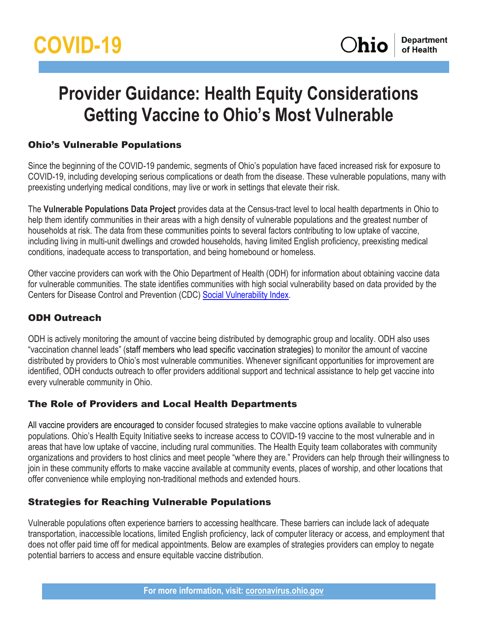# **Provider Guidance: Health Equity Considerations Getting Vaccine to Ohio's Most Vulnerable**

## Ohio's Vulnerable Populations

Since the beginning of the COVID-19 pandemic, segments of Ohio's population have faced increased risk for exposure to COVID-19, including developing serious complications or death from the disease. These vulnerable populations, many with preexisting underlying medical conditions, may live or work in settings that elevate their risk.

The **Vulnerable Populations Data Project** provides data at the Census-tract level to local health departments in Ohio to help them identify communities in their areas with a high density of vulnerable populations and the greatest number of households at risk. The data from these communities points to several factors contributing to low uptake of vaccine, including living in multi-unit dwellings and crowded households, having limited English proficiency, preexisting medical conditions, inadequate access to transportation, and being homebound or homeless.

Other vaccine providers can work with the Ohio Department of Health (ODH) for information about obtaining vaccine data for vulnerable communities. The state identifies communities with high social vulnerability based on data provided by the Centers for Disease Control and Prevention (CDC) [Social Vulnerability Index.](https://www.atsdr.cdc.gov/placeandhealth/svi/documentation/SVI_documentation_2018.html)

## ODH Outreach

ODH is actively monitoring the amount of vaccine being distributed by demographic group and locality. ODH also uses "vaccination channel leads" (staff members who lead specific vaccination strategies) to monitor the amount of vaccine distributed by providers to Ohio's most vulnerable communities. Whenever significant opportunities for improvement are identified, ODH conducts outreach to offer providers additional support and technical assistance to help get vaccine into every vulnerable community in Ohio.

## The Role of Providers and Local Health Departments

All vaccine providers are encouraged to consider focused strategies to make vaccine options available to vulnerable populations. Ohio's Health Equity Initiative seeks to increase access to COVID-19 vaccine to the most vulnerable and in areas that have low uptake of vaccine, including rural communities. The Health Equity team collaborates with community organizations and providers to host clinics and meet people "where they are." Providers can help through their willingness to join in these community efforts to make vaccine available at community events, places of worship, and other locations that offer convenience while employing non-traditional methods and extended hours.

## Strategies for Reaching Vulnerable Populations

Vulnerable populations often experience barriers to accessing healthcare. These barriers can include lack of adequate transportation, inaccessible locations, limited English proficiency, lack of computer literacy or access, and employment that does not offer paid time off for medical appointments. Below are examples of strategies providers can employ to negate potential barriers to access and ensure equitable vaccine distribution.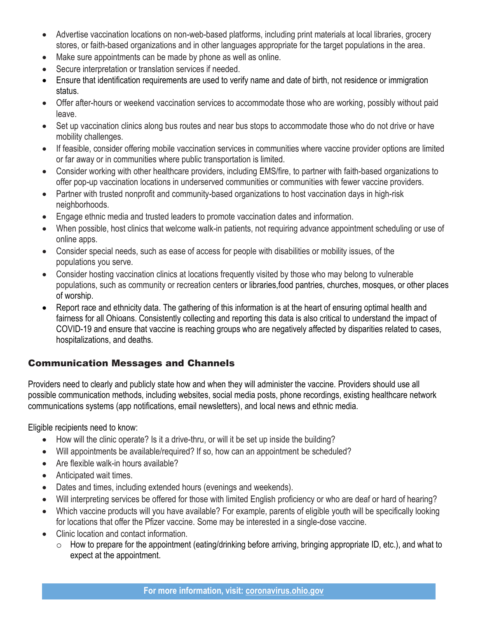- Advertise vaccination locations on non-web-based platforms, including print materials at local libraries, grocery stores, or faith-based organizations and in other languages appropriate for the target populations in the area.
- Make sure appointments can be made by phone as well as online.
- Secure interpretation or translation services if needed.
- Ensure that identification requirements are used to verify name and date of birth, not residence or immigration status.
- Offer after-hours or weekend vaccination services to accommodate those who are working, possibly without paid leave.
- Set up vaccination clinics along bus routes and near bus stops to accommodate those who do not drive or have mobility challenges.
- If feasible, consider offering mobile vaccination services in communities where vaccine provider options are limited or far away or in communities where public transportation is limited.
- Consider working with other healthcare providers, including EMS/fire, to partner with faith-based organizations to offer pop-up vaccination locations in underserved communities or communities with fewer vaccine providers.
- Partner with trusted nonprofit and community-based organizations to host vaccination days in high-risk neighborhoods.
- Engage ethnic media and trusted leaders to promote vaccination dates and information.
- When possible, host clinics that welcome walk-in patients, not requiring advance appointment scheduling or use of online apps.
- Consider special needs, such as ease of access for people with disabilities or mobility issues, of the populations you serve.
- Consider hosting vaccination clinics at locations frequently visited by those who may belong to vulnerable populations, such as community or recreation centers or libraries,food pantries, churches, mosques, or other places of worship.
- Report race and ethnicity data. The gathering of this information is at the heart of ensuring optimal health and fairness for all Ohioans. Consistently collecting and reporting this data is also critical to understand the impact of COVID-19 and ensure that vaccine is reaching groups who are negatively affected by disparities related to cases, hospitalizations, and deaths.

## Communication Messages and Channels

Providers need to clearly and publicly state how and when they will administer the vaccine. Providers should use all possible communication methods, including websites, social media posts, phone recordings, existing healthcare network communications systems (app notifications, email newsletters), and local news and ethnic media.

Eligible recipients need to know:

- How will the clinic operate? Is it a drive-thru, or will it be set up inside the building?
- Will appointments be available/required? If so, how can an appointment be scheduled?
- Are flexible walk-in hours available?
- Anticipated wait times.
- Dates and times, including extended hours (evenings and weekends).
- Will interpreting services be offered for those with limited English proficiency or who are deaf or hard of hearing?
- Which vaccine products will you have available? For example, parents of eligible youth will be specifically looking for locations that offer the Pfizer vaccine. Some may be interested in a single-dose vaccine.
- Clinic location and contact information.
	- $\circ$  How to prepare for the appointment (eating/drinking before arriving, bringing appropriate ID, etc.), and what to expect at the appointment.